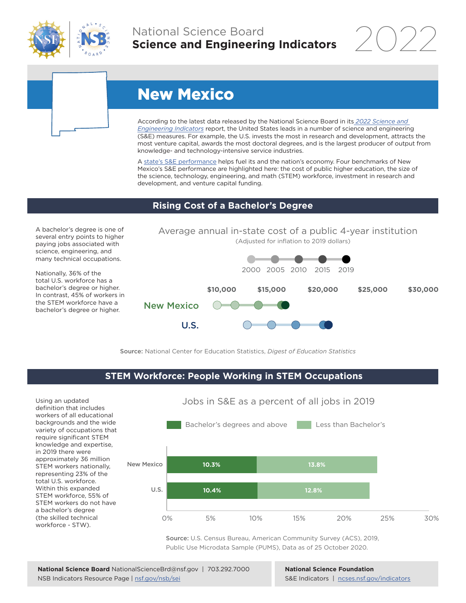

# National Science Board **Science and Engineering Indicators**

2022



# New Mexico

U.S.

According to the latest data released by the National Science Board in its *[2022 Science and](https://www.ncses.nsf.gov/indicators)  [Engineering Indicators](https://www.ncses.nsf.gov/indicators)* report, the United States leads in a number of science and engineering (S&E) measures. For example, the U.S. invests the most in research and development, attracts the most venture capital, awards the most doctoral degrees, and is the largest producer of output from knowledge- and technology-intensive service industries.

A state's S&E performance helps fuel its and the nation's economy. Four benchmarks of New Mexico's S&E performance are highlighted here: the cost of public higher education, the size of the science, technology, engineering, and math (STEM) workforce, investment in research and development, and venture capital funding.

### **Rising Cost of a Bachelor's Degree**

A bachelor's degree is one of several entry points to higher paying jobs associated with science, engineering, and many technical occupations.

Nationally, 36% of the total U.S. workforce has a bachelor's degree or higher. In contrast, 45% of workers in the STEM workforce have a bachelor's degree or higher.



Source: National Center for Education Statistics, *Digest of Education Statistics*

## **STEM Workforce: People Working in STEM Occupations**

Using an updated definition that includes workers of all educational backgrounds and the wide variety of occupations that require significant STEM knowledge and expertise, in 2019 there were approximately 36 million STEM workers nationally, representing 23% of the total U.S. workforce. Within this expanded STEM workforce, 55% of STEM workers do not have a bachelor's degree (the skilled technical workforce - STW).



Source: U.S. Census Bureau, American Community Survey (ACS), 2019, Public Use Microdata Sample (PUMS), Data as of 25 October 2020.

**National Science Foundation** S&E Indicators | [ncses.nsf.gov/indicators](https://www.ncses.nsf.gov/indicators)

# Jobs in S&E as a percent of all jobs in 2019